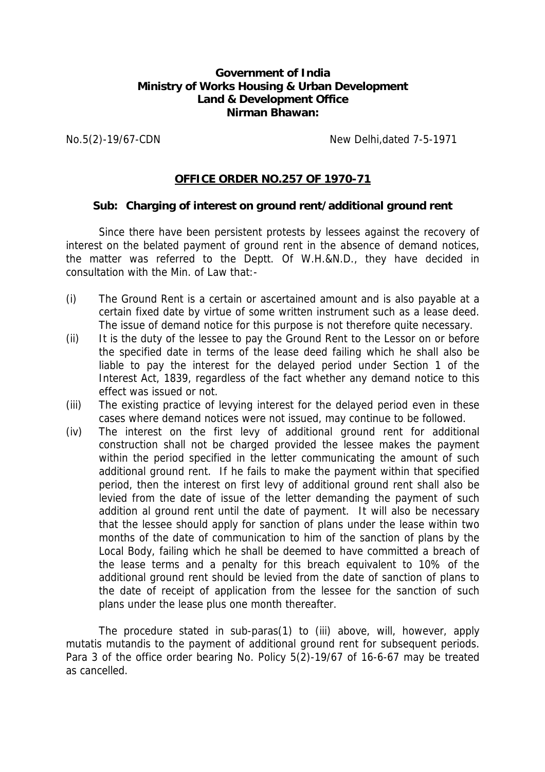## **Government of India Ministry of Works Housing & Urban Development Land & Development Office Nirman Bhawan:**

No.5(2)-19/67-CDN New Delhi,dated 7-5-1971

## **OFFICE ORDER NO.257 OF 1970-71**

## **Sub: Charging of interest on ground rent/additional ground rent**

Since there have been persistent protests by lessees against the recovery of interest on the belated payment of ground rent in the absence of demand notices, the matter was referred to the Deptt. Of W.H.&N.D., they have decided in consultation with the Min. of Law that:-

- (i) The Ground Rent is a certain or ascertained amount and is also payable at a certain fixed date by virtue of some written instrument such as a lease deed. The issue of demand notice for this purpose is not therefore quite necessary.
- (ii) It is the duty of the lessee to pay the Ground Rent to the Lessor on or before the specified date in terms of the lease deed failing which he shall also be liable to pay the interest for the delayed period under Section 1 of the Interest Act, 1839, regardless of the fact whether any demand notice to this effect was issued or not.
- (iii) The existing practice of levying interest for the delayed period even in these cases where demand notices were not issued, may continue to be followed.
- (iv) The interest on the first levy of additional ground rent for additional construction shall not be charged provided the lessee makes the payment within the period specified in the letter communicating the amount of such additional ground rent. If he fails to make the payment within that specified period, then the interest on first levy of additional ground rent shall also be levied from the date of issue of the letter demanding the payment of such addition al ground rent until the date of payment. It will also be necessary that the lessee should apply for sanction of plans under the lease within two months of the date of communication to him of the sanction of plans by the Local Body, failing which he shall be deemed to have committed a breach of the lease terms and a penalty for this breach equivalent to 10% of the additional ground rent should be levied from the date of sanction of plans to the date of receipt of application from the lessee for the sanction of such plans under the lease plus one month thereafter.

The procedure stated in sub-paras(1) to (iii) above, will, however, apply mutatis mutandis to the payment of additional ground rent for subsequent periods. Para 3 of the office order bearing No. Policy 5(2)-19/67 of 16-6-67 may be treated as cancelled.